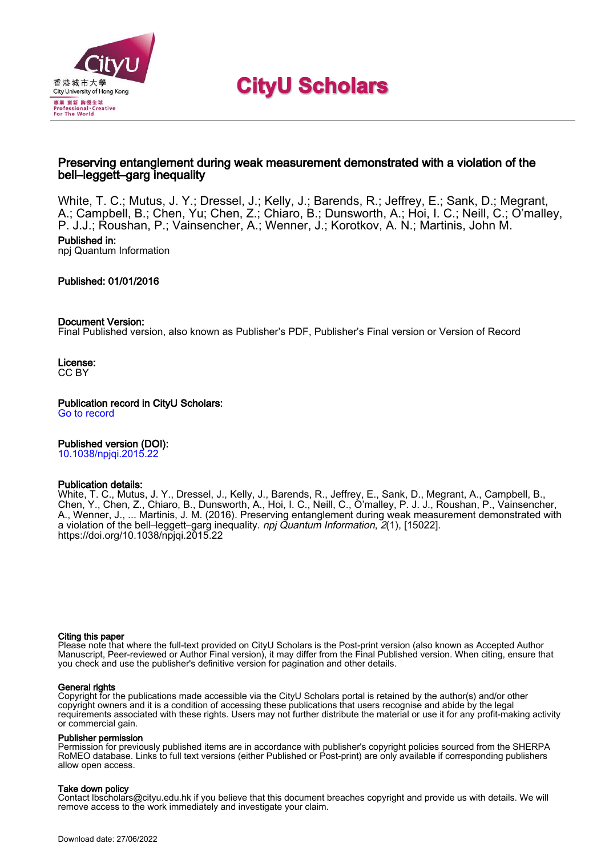

**CityU Scholars** 

# Preserving entanglement during weak measurement demonstrated with a violation of the bell–leggett–garg inequality

White, T. C.; Mutus, J. Y.; Dressel, J.; Kelly, J.; Barends, R.; Jeffrey, E.; Sank, D.; Megrant, A.; Campbell, B.; Chen, Yu; Chen, Z.; Chiaro, B.; Dunsworth, A.; Hoi, I. C.; Neill, C.; O'malley, P. J.J.; Roushan, P.; Vainsencher, A.; Wenner, J.; Korotkov, A. N.; Martinis, John M.

Published in: npj Quantum Information

Published: 01/01/2016

# Document Version:

Final Published version, also known as Publisher's PDF, Publisher's Final version or Version of Record

License: CC BY

Publication record in CityU Scholars:

[Go to record](https://scholars.cityu.edu.hk/en/publications/preserving-entanglement-during-weak-measurement-demonstrated-with-a-violation-of-the-bellleggettgarg-inequality(c9f01600-6fc6-4cc9-ae7a-5469a1ab9e40).html)

# Published version (DOI):

[10.1038/npjqi.2015.22](https://doi.org/10.1038/npjqi.2015.22)

## Publication details:

White, T. C., Mutus, J. Y., Dressel, J., Kelly, J., Barends, R., Jeffrey, E., Sank, D., Megrant, A., Campbell, B., Chen, Y., Chen, Z., Chiaro, B., Dunsworth, A.[, Hoi, I. C.](https://scholars.cityu.edu.hk/en/persons/io-chun-hoi(c7413d07-7c4f-4b30-a1d1-3ce203940e1b).html), Neill, C., O'malley, P. J. J., Roushan, P., Vainsencher, A., Wenner, J., ... Martinis, J. M. (2016). [Preserving entanglement during weak measurement demonstrated with](https://scholars.cityu.edu.hk/en/publications/preserving-entanglement-during-weak-measurement-demonstrated-with-a-violation-of-the-bellleggettgarg-inequality(c9f01600-6fc6-4cc9-ae7a-5469a1ab9e40).html) [a violation of the bell–leggett–garg inequality](https://scholars.cityu.edu.hk/en/publications/preserving-entanglement-during-weak-measurement-demonstrated-with-a-violation-of-the-bellleggettgarg-inequality(c9f01600-6fc6-4cc9-ae7a-5469a1ab9e40).html). [npj Quantum Information](https://scholars.cityu.edu.hk/en/journals/npj-quantum-information(d33eee96-e96c-4d2d-b5b6-28ce995776b8)/publications.html), 2(1), [15022]. <https://doi.org/10.1038/npjqi.2015.22>

### Citing this paper

Please note that where the full-text provided on CityU Scholars is the Post-print version (also known as Accepted Author Manuscript, Peer-reviewed or Author Final version), it may differ from the Final Published version. When citing, ensure that you check and use the publisher's definitive version for pagination and other details.

## General rights

Copyright for the publications made accessible via the CityU Scholars portal is retained by the author(s) and/or other copyright owners and it is a condition of accessing these publications that users recognise and abide by the legal requirements associated with these rights. Users may not further distribute the material or use it for any profit-making activity or commercial gain.

### Publisher permission

Permission for previously published items are in accordance with publisher's copyright policies sourced from the SHERPA RoMEO database. Links to full text versions (either Published or Post-print) are only available if corresponding publishers allow open access.

## Take down policy

Contact lbscholars@cityu.edu.hk if you believe that this document breaches copyright and provide us with details. We will remove access to the work immediately and investigate your claim.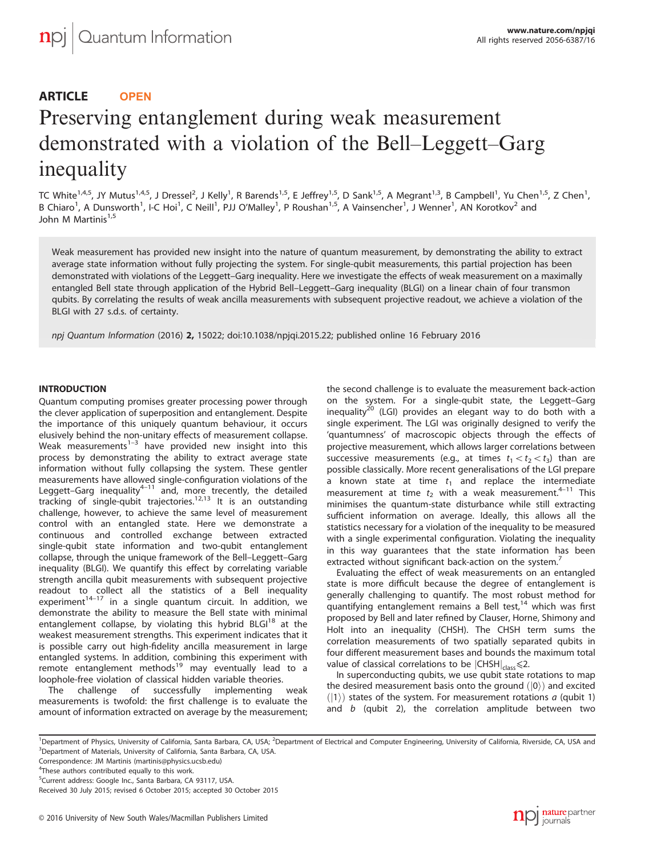# ARTICLE **OPEN**

# Preserving entanglement during weak measurement demonstrated with a violation of the Bell–Leggett–Garg inequality

TC White<sup>1,4,5</sup>, JY Mutus<sup>1,4,5</sup>, J Dressel<sup>2</sup>, J Kelly<sup>1</sup>, R Barends<sup>1,5</sup>, E Jeffrey<sup>1,5</sup>, D Sank<sup>1,5</sup>, A Megrant<sup>1,3</sup>, B Campbell<sup>1</sup>, Yu Chen<sup>1,5</sup>, Z Chen<sup>1</sup>, B Chiaro<sup>1</sup>, A Dunsworth<sup>1</sup>, I-C Hoi<sup>1</sup>, C Neill<sup>1</sup>, PJJ O'Malley<sup>1</sup>, P Roushan<sup>1,5</sup>, A Vainsencher<sup>1</sup>, J Wenner<sup>1</sup>, AN Korotkov<sup>2</sup> and John M Martinis<sup>1,5</sup>

Weak measurement has provided new insight into the nature of quantum measurement, by demonstrating the ability to extract average state information without fully projecting the system. For single-qubit measurements, this partial projection has been demonstrated with violations of the Leggett–Garg inequality. Here we investigate the effects of weak measurement on a maximally entangled Bell state through application of the Hybrid Bell–Leggett–Garg inequality (BLGI) on a linear chain of four transmon qubits. By correlating the results of weak ancilla measurements with subsequent projective readout, we achieve a violation of the BLGI with 27 s.d.s. of certainty.

npj Quantum Information (2016) 2, 15022; doi:[10.1038/npjqi.2015.22](http://dx.doi.org/10.1038/npjqi.2015.22); published online 16 February 2016

### INTRODUCTION

Quantum computing promises greater processing power through the clever application of superposition and entanglement. Despite the importance of this uniquely quantum behaviour, it occurs elusively behind the non-unitary effects of measurement collapse. Weak measurements $1-3$  $1-3$  have provided new insight into this process by demonstrating the ability to extract average state information without fully collapsing the system. These gentler measurements have allowed single-configuration violations of the Leggett–Garg inequality<sup>4–[11](#page-4-0)</sup> and, more trecently, the detailed tracking of single-qubit trajectories.[12](#page-4-0),[13](#page-4-0) It is an outstanding challenge, however, to achieve the same level of measurement control with an entangled state. Here we demonstrate a continuous and controlled exchange between extracted single-qubit state information and two-qubit entanglement collapse, through the unique framework of the Bell–Leggett–Garg inequality (BLGI). We quantify this effect by correlating variable strength ancilla qubit measurements with subsequent projective readout t[o co](#page-4-0)llect all the statistics of a Bell inequality experiment<sup>14–17</sup> in a single quantum circuit. In addition, we demonstrate the ability to measure the Bell state with minimal entanglement collapse, by violating this hybrid BLGI<sup>[18](#page-5-0)</sup> at the weakest measurement strengths. This experiment indicates that it is possible carry out high-fidelity ancilla measurement in large entangled systems. In addition, combining this experiment with remote entanglement methods $19$  may eventually lead to a loophole-free violation of classical hidden variable theories.

The challenge of successfully implementing weak measurements is twofold: the first challenge is to evaluate the amount of information extracted on average by the measurement; the second challenge is to evaluate the measurement back-action on the system. For a single-qubit state, the Leggett–Garg inequality<sup>[20](#page-5-0)</sup> (LGI) provides an elegant way to do both with a single experiment. The LGI was originally designed to verify the 'quantumness' of macroscopic objects through the effects of projective measurement, which allows larger correlations between successive measurements (e.g., at times  $t_1 < t_2 < t_3$ ) than are possible classically. More recent generalisations of the LGI prepare a known state at time  $t_1$  and replace the intermediate measurement at time  $t_2$  with a weak measurement.<sup>4-[11](#page-4-0)</sup> This minimises the quantum-state disturbance while still extracting sufficient information on average. Ideally, this allows all the statistics necessary for a violation of the inequality to be measured with a single experimental configuration. Violating the inequality in this way guarantees that the state information has been extracted without significant back-action on the system.<sup>[7](#page-4-0)</sup>

Evaluating the effect of weak measurements on an entangled state is more difficult because the degree of entanglement is generally challenging to quantify. The most robust method for quantifying entanglement remains a Bell test,<sup>[14](#page-4-0)</sup> which was first proposed by Bell and later refined by Clauser, Horne, Shimony and Holt into an inequality (CHSH). The CHSH term sums the correlation measurements of two spatially separated qubits in four different measurement bases and bounds the maximum total value of classical correlations to be  $|CHSH|_{class} \leq 2$ .

In superconducting qubits, we use qubit state rotations to map the desired measurement basis onto the ground  $( \vert 0 \rangle )$  and excited  $(1)$ ) states of the system. For measurement rotations a (qubit 1) and  $b$  (qubit 2), the correlation amplitude between two

<sup>&</sup>lt;sup>1</sup>Department of Physics, University of California, Santa Barbara, CA, USA; <sup>2</sup>Department of Electrical and Computer Engineering, University of California, Riverside, CA, USA and <sup>3</sup>Department of Materials, University of California, Santa Barbara, CA, USA.

Correspondence: JM Martinis ([martinis@physics.ucsb.edu](mailto:martinis@physics.ucsb.edu))

<sup>&</sup>lt;sup>4</sup>These authors contributed equally to this work.

<sup>&</sup>lt;sup>5</sup>Current address: Google Inc., Santa Barbara, CA 93117, USA.

Received 30 July 2015; revised 6 October 2015; accepted 30 October 2015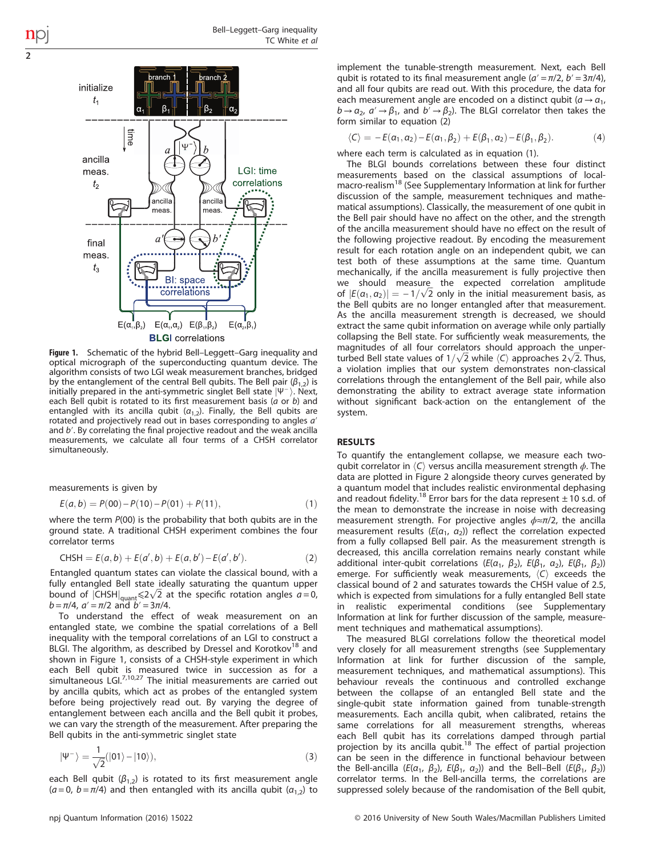<span id="page-2-0"></span>

Figure 1. Schematic of the hybrid Bell–Leggett–Garg inequality and optical micrograph of the superconducting quantum device. The algorithm consists of two LGI weak measurement branches, bridged by the entanglement of the central Bell qubits. The Bell pair  $(\beta_{1,2})$  is initially prepared in the anti-symmetric singlet Bell state  $|\Psi^{-}\rangle$ . Next, each Bell qubit is rotated to its first measurement basis (a or b) and entangled with its ancilla qubit  $(a_{1,2})$ . Finally, the Bell qubits are rotated and projectively read out in bases corresponding to angles a′ and b'. By correlating the final projective readout and the weak ancilla measurements, we calculate all four terms of a CHSH correlator simultaneously.

measurements is given by

$$
E(a,b) = P(00) - P(10) - P(01) + P(11),
$$
\n(1)

where the term  $P(00)$  is the probability that both qubits are in the ground state. A traditional CHSH experiment combines the four correlator terms

CHSH = 
$$
E(a, b) + E(a', b) + E(a, b') - E(a', b')
$$
. (2)

Entangled quantum states can violate the classical bound, with a fully entangled Bell state ideally saturating the quantum upper fully entangled Bell state ideally saturating the quantum upper<br>bound of  $|\mathsf{CHSH}|_{\mathsf{quant}}{\leq}2\sqrt{2}$  at the specific rotation angles  $a\!=\!0$ ,  $b = \pi/4$ ,  $a' = \pi/2$  and  $b' = 3\pi/4$ .

To understand the effect of weak measurement on an entangled state, we combine the spatial correlations of a Bell inequality with the temporal correlations of an LGI to construct a BLGI. The algorithm, as described by Dressel and Korotkov<sup>[18](#page-5-0)</sup> and shown in Figure 1, consists of a CHSH-style experiment in which each Bell qubit is measured twice in succession as for a simultaneous LGI. $7,10,27$  $7,10,27$  $7,10,27$  The initial measurements are carried out by ancilla qubits, which act as probes of the entangled system before being projectively read out. By varying the degree of entanglement between each ancilla and the Bell qubit it probes, we can vary the strength of the measurement. After preparing the Bell qubits in the anti-symmetric singlet state

$$
|\Psi^{-}\rangle = \frac{1}{\sqrt{2}}(|01\rangle - |10\rangle),\tag{3}
$$

each Bell qubit ( $\beta_{1,2}$ ) is rotated to its first measurement angle  $(a=0, b=\pi/4)$  and then entangled with its ancilla qubit  $(a_{1,2})$  to implement the tunable-strength measurement. Next, each Bell qubit is rotated to its final measurement angle  $(a' = \pi/2, b' = 3\pi/4)$ , and all four qubits are read out. With this procedure, the data for each measurement angle are encoded on a distinct qubit ( $a \rightarrow a_{1}$ ,  $b \rightarrow a_{2}$ ,  $a' \rightarrow \beta_{1}$ , and  $b' \rightarrow \beta_{2}$ ). The BLGI correlator then takes the form similar to equation (2)

$$
\langle C \rangle = -E(\alpha_1, \alpha_2) - E(\alpha_1, \beta_2) + E(\beta_1, \alpha_2) - E(\beta_1, \beta_2). \tag{4}
$$

where each term is calculated as in equation (1).

The BLGI bounds correlations between these four distinct measurements based on the classical assumptions of local-macro-realism<sup>[18](#page-5-0)</sup> (See Supplementary Information at link for further discussion of the sample, measurement techniques and mathematical assumptions). Classically, the measurement of one qubit in the Bell pair should have no affect on the other, and the strength of the ancilla measurement should have no effect on the result of the following projective readout. By encoding the measurement result for each rotation angle on an independent qubit, we can test both of these assumptions at the same time. Quantum mechanically, if the ancilla measurement is fully projective then we should measure the expected correlation amplitude we should measure the expected correlation amplitude<br>of  $|E(a_1, a_2)| = -1/\sqrt{2}$  only in the initial measurement basis, as the Bell qubits are no longer entangled after that measurement. As the ancilla measurement strength is decreased, we should extract the same qubit information on average while only partially collapsing the Bell state. For sufficiently weak measurements, the magnitudes of all four correlators should approach the unpermagnitudes of all four correlators should approach the unper-<br>turbed Bell state values of  $1/\sqrt{2}$  while  $\langle C \rangle$  approaches  $2\sqrt{2}$ . Thus, a violation implies that our system demonstrates non-classical correlations through the entanglement of the Bell pair, while also demonstrating the ability to extract average state information without significant back-action on the entanglement of the system.

### RESULTS

To quantify the entanglement collapse, we measure each twoqubit correlator in  $\langle C \rangle$  versus ancilla measurement strength  $\phi$ . The data are plotted in [Figure 2](#page-3-0) alongside theory curves generated by a quantum model that includes realistic environmental dephasing and readout fidelity.<sup>[18](#page-5-0)</sup> Error bars for the data represent  $\pm$  10 s.d. of the mean to demonstrate the increase in noise with decreasing measurement strength. For projective angles  $\phi \approx \pi/2$ , the ancilla measurement results ( $E(a_1, a_2)$ ) reflect the correlation expected from a fully collapsed Bell pair. As the measurement strength is decreased, this ancilla correlation remains nearly constant while additional inter-qubit correlations ( $E(\alpha_1, \beta_2)$ ,  $E(\beta_1, \alpha_2)$ ,  $E(\beta_1, \beta_2)$ ) emerge. For sufficiently weak measurements,  $\langle C \rangle$  exceeds the classical bound of 2 and saturates towards the CHSH value of 2.5, which is expected from simulations for a fully entangled Bell state in realistic experimental conditions (see Supplementary Information at link for further discussion of the sample, measurement techniques and mathematical assumptions).

The measured BLGI correlations follow the theoretical model very closely for all measurement strengths (see Supplementary Information at link for further discussion of the sample, measurement techniques, and mathematical assumptions). This behaviour reveals the continuous and controlled exchange between the collapse of an entangled Bell state and the single-qubit state information gained from tunable-strength measurements. Each ancilla qubit, when calibrated, retains the same correlations for all measurement strengths, whereas each Bell qubit has its correlations damped through partial projection by its ancilla qubit.<sup>[18](#page-5-0)</sup> The effect of partial projection can be seen in the difference in functional behaviour between the Bell-ancilla ( $E(\alpha_1, \beta_2)$ ,  $E(\beta_1, \alpha_2)$ ) and the Bell–Bell ( $E(\beta_1, \beta_2)$ ) correlator terms. In the Bell-ancilla terms, the correlations are suppressed solely because of the randomisation of the Bell qubit,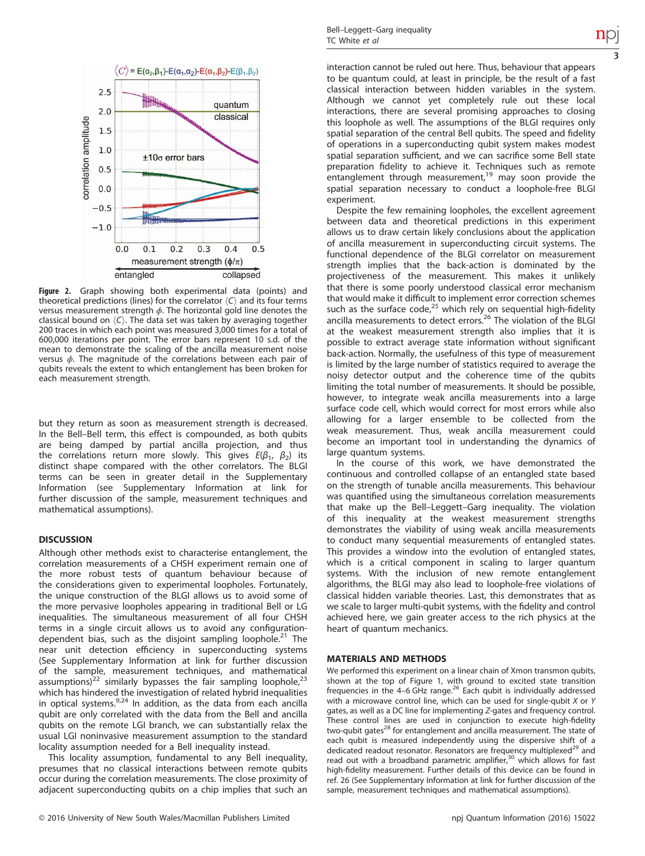<span id="page-3-0"></span>

**Figure 2.** Graph showing both experimental data (points) and its four terms theoretical predictions (lines) for the correlator  $\langle C \rangle$  and its four terms versus measurement strength  $\phi$ . The horizontal gold line denotes the classical bound on  $\langle C \rangle$ . The data set was taken by averaging together 200 traces in which each point was measured 3,000 times for a total of 600,000 iterations per point. The error bars represent 10 s.d. of the mean to demonstrate the scaling of the ancilla measurement noise versus  $\phi$ . The magnitude of the correlations between each pair of qubits reveals the extent to which entanglement has been broken for each measurement strength.

but they return as soon as measurement strength is decreased. In the Bell–Bell term, this effect is compounded, as both qubits are being damped by partial ancilla projection, and thus the correlations return more slowly. This gives  $E(\beta_1, \beta_2)$  its distinct shape compared with the other correlators. The BLGI terms can be seen in greater detail in the Supplementary Information (see Supplementary Information at link for further discussion of the sample, measurement techniques and mathematical assumptions).

### **DISCUSSION**

Although other methods exist to characterise entanglement, the correlation measurements of a CHSH experiment remain one of the more robust tests of quantum behaviour because of the considerations given to experimental loopholes. Fortunately, the unique construction of the BLGI allows us to avoid some of the more pervasive loopholes appearing in traditional Bell or LG inequalities. The simultaneous measurement of all four CHSH terms in a single circuit allows us to avoid any configuration-dependent bias, such as the disjoint sampling loophole.<sup>[21](#page-5-0)</sup> The near unit detection efficiency in superconducting systems (See Supplementary Information at link for further discussion of the sample, measurement techniques, and mathematical assumptions) $^{22}$  $^{22}$  $^{22}$  similarly bypasses the fair sampling loophole, $^{23}$  $^{23}$  $^{23}$ which has hindered the investigation of related hybrid inequalities in optical systems.[9](#page-4-0),[24](#page-5-0) In addition, as the data from each ancilla qubit are only correlated with the data from the Bell and ancilla qubits on the remote LGI branch, we can substantially relax the usual LGI noninvasive measurement assumption to the standard locality assumption needed for a Bell inequality instead.

This locality assumption, fundamental to any Bell inequality, presumes that no classical interactions between remote qubits occur during the correlation measurements. The close proximity of adjacent superconducting qubits on a chip implies that such an 3

interaction cannot be ruled out here. Thus, behaviour that appears to be quantum could, at least in principle, be the result of a fast classical interaction between hidden variables in the system. Although we cannot yet completely rule out these local interactions, there are several promising approaches to closing this loophole as well. The assumptions of the BLGI requires only spatial separation of the central Bell qubits. The speed and fidelity of operations in a superconducting qubit system makes modest spatial separation sufficient, and we can sacrifice some Bell state preparation fidelity to achieve it. Techniques such as remote entanglement through measurement, $19$  may soon provide the spatial separation necessary to conduct a loophole-free BLGI experiment.

Despite the few remaining loopholes, the excellent agreement between data and theoretical predictions in this experiment allows us to draw certain likely conclusions about the application of ancilla measurement in superconducting circuit systems. The functional dependence of the BLGI correlator on measurement strength implies that the back-action is dominated by the projectiveness of the measurement. This makes it unlikely that there is some poorly understood classical error mechanism that would make it difficult to implement error correction schemes such as the surface code, $25$  which rely on sequential high-fidelity ancilla measurements to detect errors.[26](#page-5-0) The violation of the BLGI at the weakest measurement strength also implies that it is possible to extract average state information without significant back-action. Normally, the usefulness of this type of measurement is limited by the large number of statistics required to average the noisy detector output and the coherence time of the qubits limiting the total number of measurements. It should be possible, however, to integrate weak ancilla measurements into a large surface code cell, which would correct for most errors while also allowing for a larger ensemble to be collected from the weak measurement. Thus, weak ancilla measurement could become an important tool in understanding the dynamics of large quantum systems.

In the course of this work, we have demonstrated the continuous and controlled collapse of an entangled state based on the strength of tunable ancilla measurements. This behaviour was quantified using the simultaneous correlation measurements that make up the Bell–Leggett–Garg inequality. The violation of this inequality at the weakest measurement strengths demonstrates the viability of using weak ancilla measurements to conduct many sequential measurements of entangled states. This provides a window into the evolution of entangled states, which is a critical component in scaling to larger quantum systems. With the inclusion of new remote entanglement algorithms, the BLGI may also lead to loophole-free violations of classical hidden variable theories. Last, this demonstrates that as we scale to larger multi-qubit systems, with the fidelity and control achieved here, we gain greater access to the rich physics at the heart of quantum mechanics.

#### MATERIALS AND METHODS

We performed this experiment on a linear chain of Xmon transmon qubits, shown at the top of [Figure 1,](#page-2-0) with ground to excited state transition frequencies in the 4-6 GHz range.<sup>26</sup> Each qubit is individually addressed with a microwave control line, which can be used for single-qubit  $X$  or  $Y$ gates, as well as a DC line for implementing Z-gates and frequency control. These control lines are used in conjunction to execute high-fidelity two-qubit gates<sup>[28](#page-5-0)</sup> for entanglement and ancilla measurement. The state of each qubit is measured independently using the dispersive shift of a dedicated readout resonator. Resonators are frequency multiplexed<sup>[29](#page-5-0)</sup> and read out with a broadband parametric amplifier,<sup>30</sup> which allows for fast high-fidelity measurement. Further details of this device can be found in ref. [26](#page-5-0) (See Supplementary Information at link for further discussion of the sample, measurement techniques and mathematical assumptions).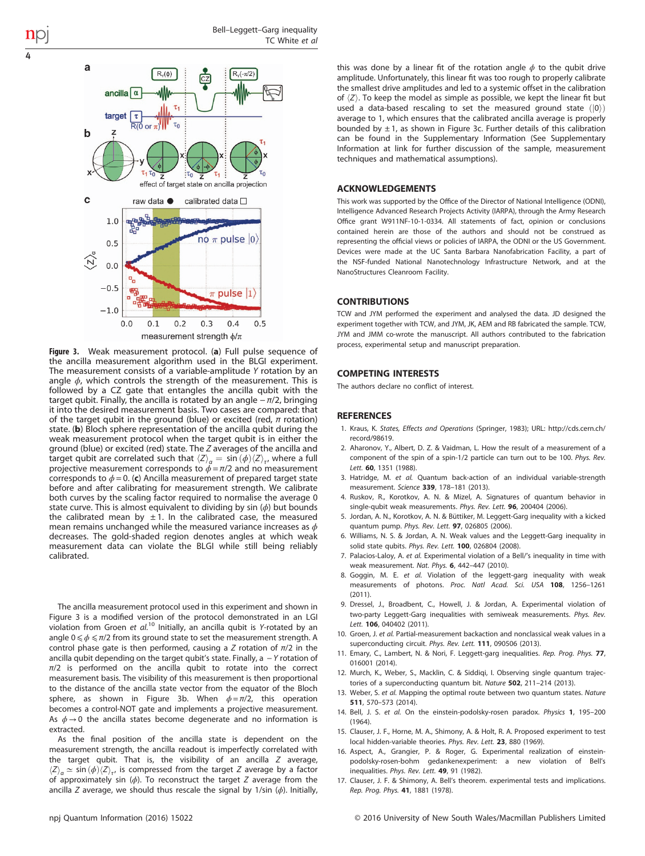<span id="page-4-0"></span>

Figure 3. Weak measurement protocol. (a) Full pulse sequence of the ancilla measurement algorithm used in the BLGI experiment. The measurement consists of a variable-amplitude Y rotation by an angle  $\phi$ , which controls the strength of the measurement. This is followed by a CZ gate that entangles the ancilla qubit with the target qubit. Finally, the ancilla is rotated by an angle  $-\pi/2$ , bringing it into the desired measurement basis. Two cases are compared: that of the target qubit in the ground (blue) or excited (red,  $\pi$  rotation) state. (b) Bloch sphere representation of the ancilla qubit during the weak measurement protocol when the target qubit is in either the ground (blue) or excited (red) state. The Z averages of the ancilla and target qubit are correlated such that  $\langle Z \rangle_{\alpha} = \sin \overline{(\phi)} \langle Z \rangle_{\tau}$ , where a full projective measurement corresponds to  $\bar{\phi} = \pi/2$  and no measurement corresponds to  $\phi = 0$ . (c) Ancilla measurement of prepared target state before and after calibrating for measurement strength. We calibrate both curves by the scaling factor required to normalise the average 0 state curve. This is almost equivalent to dividing by sin  $(\phi)$  but bounds the calibrated mean by  $\pm 1$ . In the calibrated case, the measured mean remains unchanged while the measured variance increases as  $\phi$ decreases. The gold-shaded region denotes angles at which weak measurement data can violate the BLGI while still being reliably calibrated.

The ancilla measurement protocol used in this experiment and shown in Figure 3 is a modified version of the protocol demonstrated in an LGI violation from Groen et al.<sup>10</sup> Initially, an ancilla qubit is Y-rotated by an angle  $0 \le \phi \le \pi/2$  from its ground state to set the measurement strength. A control phase gate is then performed, causing a Z rotation of  $\pi/2$  in the ancilla qubit depending on the target qubit's state. Finally, a − Y rotation of  $\pi/2$  is performed on the ancilla qubit to rotate into the correct measurement basis. The visibility of this measurement is then proportional to the distance of the ancilla state vector from the equator of the Bloch sphere, as shown in Figure 3b. When  $\phi = \pi/2$ , this operation becomes a control-NOT gate and implements a projective measurement. As  $\phi \rightarrow 0$  the ancilla states become degenerate and no information is extracted.

As the final position of the ancilla state is dependent on the measurement strength, the ancilla readout is imperfectly correlated with the target qubit. That is, the visibility of an ancilla  $Z$  average,  $\langle Z \rangle_{\alpha} \simeq \sin (\phi) \langle Z \rangle_{\tau}$ , is compressed from the target Z average by a factor of approximately sin  $(\phi)$ . To reconstruct the target Z average from the ancilla Z average, we should thus rescale the signal by  $1/\sin (\phi)$ . Initially, this was done by a linear fit of the rotation angle  $\phi$  to the qubit drive amplitude. Unfortunately, this linear fit was too rough to properly calibrate the smallest drive amplitudes and led to a systemic offset in the calibration of  $\langle Z \rangle$ . To keep the model as simple as possible, we kept the linear fit but used a data-based rescaling to set the measured ground state  $( \vert 0 \rangle )$ average to 1, which ensures that the calibrated ancilla average is properly bounded by  $\pm$  1, as shown in Figure 3c. Further details of this calibration can be found in the Supplementary Information (See Supplementary Information at link for further discussion of the sample, measurement techniques and mathematical assumptions).

### ACKNOWLEDGEMENTS

This work was supported by the Office of the Director of National Intelligence (ODNI), Intelligence Advanced Research Projects Activity (IARPA), through the Army Research Office grant W911NF-10-1-0334. All statements of fact, opinion or conclusions contained herein are those of the authors and should not be construed as representing the official views or policies of IARPA, the ODNI or the US Government. Devices were made at the UC Santa Barbara Nanofabrication Facility, a part of the NSF-funded National Nanotechnology Infrastructure Network, and at the NanoStructures Cleanroom Facility.

### **CONTRIBUTIONS**

TCW and JYM performed the experiment and analysed the data. JD designed the experiment together with TCW, and JYM, JK, AEM and RB fabricated the sample. TCW, JYM and JMM co-wrote the manuscript. All authors contributed to the fabrication process, experimental setup and manuscript preparation.

### COMPETING INTERESTS

The authors declare no conflict of interest.

### **REFERENCES**

- 1. Kraus, K. States, Effects and Operations (Springer, 1983); URL: [http://cds.cern.ch/](http://cds.cern.ch/record/98619) [record/98619](http://cds.cern.ch/record/98619).
- 2. Aharonov, Y., Albert, D. Z. & Vaidman, L. How the result of a measurement of a component of the spin of a spin-1/2 particle can turn out to be 100. Phys. Rev. Lett. 60, 1351 (1988).
- 3. Hatridge, M. et al. Quantum back-action of an individual variable-strength measurement. Science 339, 178–181 (2013).
- 4. Ruskov, R., Korotkov, A. N. & Mizel, A. Signatures of quantum behavior in single-qubit weak measurements. Phys. Rev. Lett. 96, 200404 (2006).
- 5. Jordan, A. N., Korotkov, A. N. & Büttiker, M. Leggett-Garg inequality with a kicked quantum pump. Phys. Rev. Lett. 97, 026805 (2006).
- 6. Williams, N. S. & Jordan, A. N. Weak values and the Leggett-Garg inequality in solid state qubits. Phys. Rev. Lett. 100, 026804 (2008).
- 7. Palacios-Laloy, A. et al. Experimental violation of a Bell/'s inequality in time with weak measurement. Nat. Phys. 6, 442–447 (2010).
- 8. Goggin, M. E. et al. Violation of the leggett-garg inequality with weak measurements of photons. Proc. Natl Acad. Sci. USA 108, 1256–1261  $(2011)$
- 9. Dressel, J., Broadbent, C., Howell, J. & Jordan, A. Experimental violation of two-party Leggett-Garg inequalities with semiweak measurements. Phys. Rev. Lett. 106, 040402 (2011).
- 10. Groen, J. et al. Partial-measurement backaction and nonclassical weak values in a superconducting circuit. Phys. Rev. Lett. 111, 090506 (2013).
- 11. Emary, C., Lambert, N. & Nori, F. Leggett-garg inequalities. Rep. Prog. Phys. 77, 016001 (2014).
- 12. Murch, K., Weber, S., Macklin, C. & Siddiqi, I. Observing single quantum trajectories of a superconducting quantum bit. Nature 502, 211–214 (2013).
- 13. Weber, S. et al. Mapping the optimal route between two quantum states. Nature 511, 570–573 (2014).
- 14. Bell, J. S. et al. On the einstein-podolsky-rosen paradox. Physics 1, 195–200 (1964).
- 15. Clauser, J. F., Horne, M. A., Shimony, A. & Holt, R. A. Proposed experiment to test local hidden-variable theories. Phys. Rev. Lett. 23, 880 (1969).
- 16. Aspect, A., Grangier, P. & Roger, G. Experimental realization of einsteinpodolsky-rosen-bohm gedankenexperiment: a new violation of Bell's inequalities. Phys. Rev. Lett. 49, 91 (1982).
- 17. Clauser, J. F. & Shimony, A. Bell's theorem. experimental tests and implications. Rep. Prog. Phys. 41, 1881 (1978).